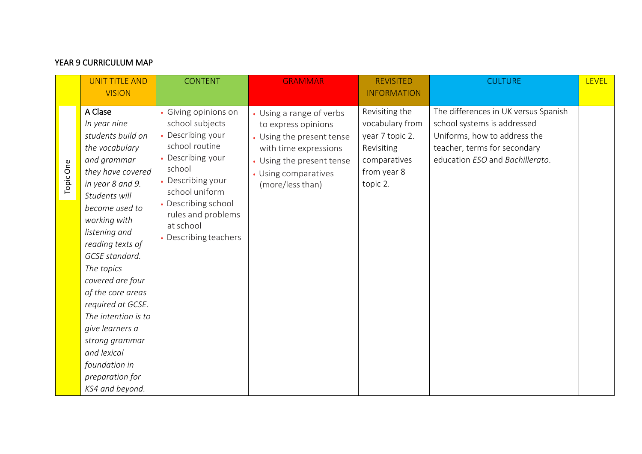## YEAR 9 CURRICULUM MAP

|           | <b>UNIT TITLE AND</b><br><b>VISION</b>                                                                                                                                                                                                                                                                                                                                                                                                         | <b>CONTENT</b>                                                                                                                                                                                                                    | <b>GRAMMAR</b>                                                                                                                                                                 | <b>REVISITED</b><br><b>INFORMATION</b>                                                                        | <b>CULTURE</b>                                                                                                                                                         | <b>LEVEL</b> |
|-----------|------------------------------------------------------------------------------------------------------------------------------------------------------------------------------------------------------------------------------------------------------------------------------------------------------------------------------------------------------------------------------------------------------------------------------------------------|-----------------------------------------------------------------------------------------------------------------------------------------------------------------------------------------------------------------------------------|--------------------------------------------------------------------------------------------------------------------------------------------------------------------------------|---------------------------------------------------------------------------------------------------------------|------------------------------------------------------------------------------------------------------------------------------------------------------------------------|--------------|
| Topic One | A Clase<br>In year nine<br>students build on<br>the vocabulary<br>and grammar<br>they have covered<br>in year 8 and 9.<br>Students will<br>become used to<br>working with<br>listening and<br>reading texts of<br>GCSE standard.<br>The topics<br>covered are four<br>of the core areas<br>required at GCSE.<br>The intention is to<br>give learners a<br>strong grammar<br>and lexical<br>foundation in<br>preparation for<br>KS4 and beyond. | • Giving opinions on<br>school subjects<br>• Describing your<br>school routine<br>Describing your<br>school<br>Describing your<br>school uniform<br>Describing school<br>rules and problems<br>at school<br>• Describing teachers | • Using a range of verbs<br>to express opinions<br>• Using the present tense<br>with time expressions<br>• Using the present tense<br>• Using comparatives<br>(more/less than) | Revisiting the<br>vocabulary from<br>year 7 topic 2.<br>Revisiting<br>comparatives<br>from year 8<br>topic 2. | The differences in UK versus Spanish<br>school systems is addressed<br>Uniforms, how to address the<br>teacher, terms for secondary<br>education ESO and Bachillerato. |              |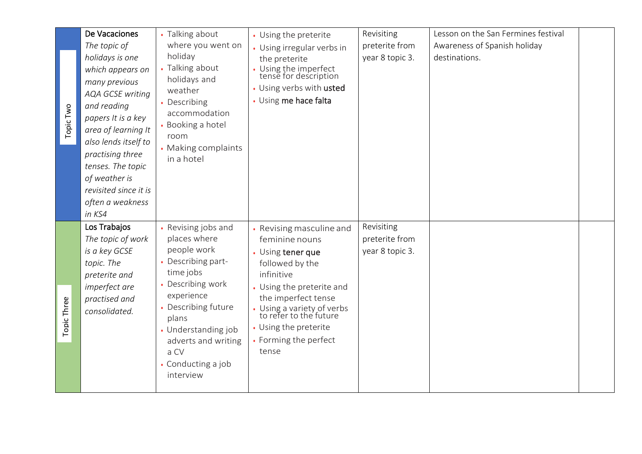| Topic Two   | De Vacaciones<br>The topic of<br>holidays is one<br>which appears on<br>many previous<br><b>AQA GCSE writing</b><br>and reading<br>papers It is a key<br>area of learning It<br>also lends itself to<br>practising three<br>tenses. The topic<br>of weather is<br>revisited since it is<br>often a weakness<br>in KS4 | • Talking about<br>where you went on<br>holiday<br>• Talking about<br>holidays and<br>weather<br>• Describing<br>accommodation<br>• Booking a hotel<br>room<br>• Making complaints<br>in a hotel                                                | • Using the preterite<br>• Using irregular verbs in<br>the preterite<br>Using the imperfect<br>tense for description<br>• Using verbs with usted<br>• Using me hace falta                                                                                               | Revisiting<br>preterite from<br>year 8 topic 3. | Lesson on the San Fermines festival<br>Awareness of Spanish holiday<br>destinations. |  |
|-------------|-----------------------------------------------------------------------------------------------------------------------------------------------------------------------------------------------------------------------------------------------------------------------------------------------------------------------|-------------------------------------------------------------------------------------------------------------------------------------------------------------------------------------------------------------------------------------------------|-------------------------------------------------------------------------------------------------------------------------------------------------------------------------------------------------------------------------------------------------------------------------|-------------------------------------------------|--------------------------------------------------------------------------------------|--|
| Topic Three | Los Trabajos<br>The topic of work<br>is a key GCSE<br>topic. The<br>preterite and<br>imperfect are<br>practised and<br>consolidated.                                                                                                                                                                                  | • Revising jobs and<br>places where<br>people work<br>Describing part-<br>time jobs<br>• Describing work<br>experience<br>• Describing future<br>plans<br>• Understanding job<br>adverts and writing<br>a CV<br>• Conducting a job<br>interview | • Revising masculine and<br>feminine nouns<br>• Using tener que<br>followed by the<br>infinitive<br>• Using the preterite and<br>the imperfect tense<br>• Using a variety of verbs<br>to refer to the future<br>• Using the preterite<br>• Forming the perfect<br>tense | Revisiting<br>preterite from<br>year 8 topic 3. |                                                                                      |  |